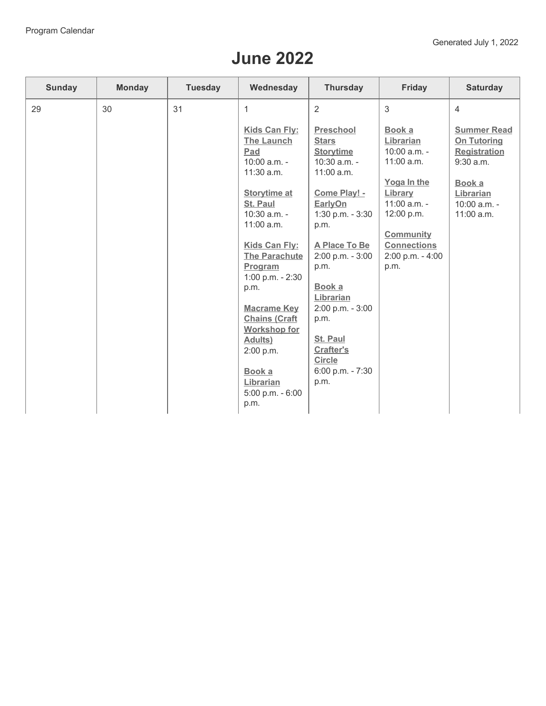## **June 2022**

| Sunday | <b>Monday</b> | <b>Tuesday</b> | Wednesday                                                                                         | <b>Thursday</b>                                                                               | <b>Friday</b>                                                      | <b>Saturday</b>                                                                |
|--------|---------------|----------------|---------------------------------------------------------------------------------------------------|-----------------------------------------------------------------------------------------------|--------------------------------------------------------------------|--------------------------------------------------------------------------------|
| 29     | 30            | 31             | $\mathbf{1}$                                                                                      | $\overline{2}$                                                                                | 3                                                                  | $\overline{4}$                                                                 |
|        |               |                | <b>Kids Can Fly:</b><br><b>The Launch</b><br>Pad<br>10:00 a.m. -                                  | <b>Preschool</b><br><b>Stars</b><br><b>Storytime</b><br>10:30 a.m. -                          | Book a<br>Librarian<br>10:00 a.m. -<br>11:00 a.m.                  | <b>Summer Read</b><br><b>On Tutoring</b><br><b>Registration</b><br>$9:30$ a.m. |
|        |               |                | 11:30 a.m.<br><b>Storytime at</b><br>St. Paul<br>$10:30$ a.m. -<br>11:00 a.m.                     | 11:00 a.m.<br>Come Play! -<br>EarlyOn<br>1:30 p.m. - 3:30<br>p.m.                             | Yoga In the<br>Library<br>$11:00$ a.m. -<br>12:00 p.m.             | Book a<br>Librarian<br>10:00 a.m. -<br>11:00 a.m.                              |
|        |               |                | Kids Can Fly:<br><b>The Parachute</b><br>Program<br>1:00 p.m. - 2:30<br>p.m.                      | A Place To Be<br>2:00 p.m. - 3:00<br>p.m.<br>Book a                                           | <b>Community</b><br><b>Connections</b><br>2:00 p.m. - 4:00<br>p.m. |                                                                                |
|        |               |                | <b>Macrame Key</b><br><b>Chains (Craft</b><br><b>Workshop for</b><br><b>Adults</b> )<br>2:00 p.m. | Librarian<br>2:00 p.m. - 3:00<br>p.m.<br><b>St. Paul</b><br><b>Crafter's</b><br><b>Circle</b> |                                                                    |                                                                                |
|        |               |                | Book a<br>Librarian<br>5:00 p.m. - 6:00<br>p.m.                                                   | 6:00 p.m. - 7:30<br>p.m.                                                                      |                                                                    |                                                                                |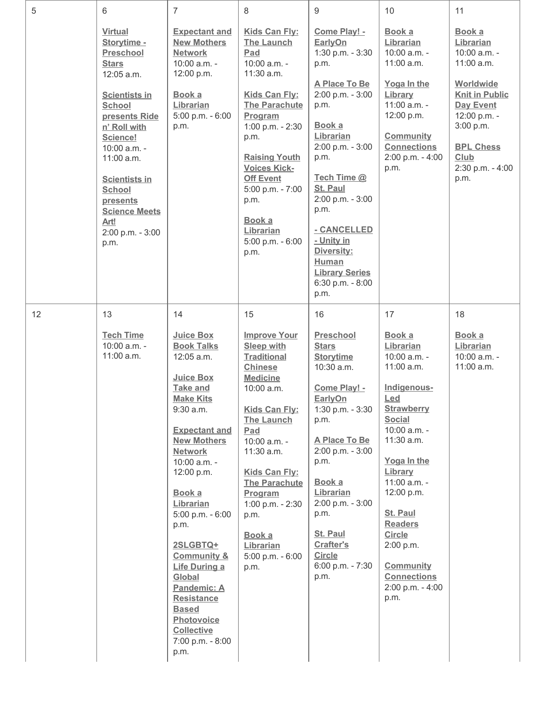| 5  | 6                                                                                                                                                                                                                                                                                               | $\overline{7}$                                                                                                                                                                                                                                                                                                                                                                                                                                                     | 8                                                                                                                                                                                                                                                                                                                                 | 9                                                                                                                                                                                                                                                                                                                   | 10                                                                                                                                                                                                                                                                                                                                      | 11                                                                                                                                                                                                 |
|----|-------------------------------------------------------------------------------------------------------------------------------------------------------------------------------------------------------------------------------------------------------------------------------------------------|--------------------------------------------------------------------------------------------------------------------------------------------------------------------------------------------------------------------------------------------------------------------------------------------------------------------------------------------------------------------------------------------------------------------------------------------------------------------|-----------------------------------------------------------------------------------------------------------------------------------------------------------------------------------------------------------------------------------------------------------------------------------------------------------------------------------|---------------------------------------------------------------------------------------------------------------------------------------------------------------------------------------------------------------------------------------------------------------------------------------------------------------------|-----------------------------------------------------------------------------------------------------------------------------------------------------------------------------------------------------------------------------------------------------------------------------------------------------------------------------------------|----------------------------------------------------------------------------------------------------------------------------------------------------------------------------------------------------|
|    | <b>Virtual</b><br>Storytime -<br>Preschool<br><b>Stars</b><br>12:05 a.m.<br><b>Scientists in</b><br>School<br>presents Ride<br>n' Roll with<br>Science!<br>10:00 a.m. -<br>11:00 a.m.<br><b>Scientists in</b><br>School<br>presents<br><b>Science Meets</b><br>Art!<br>2:00 p.m. - 3:00<br>p.m. | <b>Expectant and</b><br><b>New Mothers</b><br><b>Network</b><br>10:00 a.m. -<br>12:00 p.m.<br>Book a<br>Librarian<br>5:00 p.m. - 6:00<br>p.m.                                                                                                                                                                                                                                                                                                                      | Kids Can Fly:<br><b>The Launch</b><br>Pad<br>10:00 a.m. -<br>11:30 a.m.<br><b>Kids Can Fly:</b><br><b>The Parachute</b><br>Program<br>1:00 p.m. - 2:30<br>p.m.<br><b>Raising Youth</b><br><b>Voices Kick-</b><br><b>Off Event</b><br>5:00 p.m. - 7:00<br>p.m.<br>Book a<br>Librarian<br>5:00 p.m. - 6:00<br>p.m.                  | Come Play! -<br>EarlyOn<br>1:30 p.m. - 3:30<br>p.m.<br>A Place To Be<br>2:00 p.m. - 3:00<br>p.m.<br>Book a<br>Librarian<br>2:00 p.m. - 3:00<br>p.m.<br>Tech Time @<br>St. Paul<br>2:00 p.m. - 3:00<br>p.m.<br>- CANCELLED<br>- Unity in<br>Diversity:<br>Human<br><b>Library Series</b><br>6:30 p.m. - 8:00<br>p.m. | Book a<br>Librarian<br>10:00 a.m. -<br>$11:00$ a.m.<br>Yoga In the<br>Library<br>11:00 a.m. -<br>12:00 p.m.<br><b>Community</b><br><b>Connections</b><br>2:00 p.m. - 4:00<br>p.m.                                                                                                                                                       | Book a<br>Librarian<br>10:00 a.m. -<br>$11:00$ a.m.<br>Worldwide<br><b>Knit in Public</b><br><b>Day Event</b><br>12:00 p.m. -<br>3:00 p.m.<br><b>BPL Chess</b><br>Club<br>2:30 p.m. - 4:00<br>p.m. |
| 12 | 13                                                                                                                                                                                                                                                                                              | 14                                                                                                                                                                                                                                                                                                                                                                                                                                                                 | 15                                                                                                                                                                                                                                                                                                                                | 16                                                                                                                                                                                                                                                                                                                  | 17                                                                                                                                                                                                                                                                                                                                      | 18                                                                                                                                                                                                 |
|    | <b>Tech Time</b><br>10:00 a.m. -<br>11:00 a.m.                                                                                                                                                                                                                                                  | Juice Box<br><b>Book Talks</b><br>12:05 a.m.<br><b>Juice Box</b><br><b>Take and</b><br><b>Make Kits</b><br>$9:30$ a.m.<br><b>Expectant and</b><br><b>New Mothers</b><br><b>Network</b><br>10:00 a.m. -<br>12:00 p.m.<br>Book a<br>Librarian<br>5:00 p.m. - 6:00<br>p.m.<br>2SLGBTQ+<br><b>Community &amp;</b><br><b>Life During a</b><br>Global<br>Pandemic: A<br><b>Resistance</b><br><b>Based</b><br>Photovoice<br><b>Collective</b><br>7:00 p.m. - 8:00<br>p.m. | <b>Improve Your</b><br><b>Sleep with</b><br><b>Traditional</b><br><b>Chinese</b><br><b>Medicine</b><br>$10:00$ a.m.<br>Kids Can Fly:<br><b>The Launch</b><br>Pad<br>10:00 a.m. -<br>11:30 a.m.<br>Kids Can Fly:<br><b>The Parachute</b><br>Program<br>1:00 p.m. - 2:30<br>p.m.<br>Book a<br>Librarian<br>5:00 p.m. - 6:00<br>p.m. | <b>Preschool</b><br><b>Stars</b><br><b>Storytime</b><br>10:30 a.m.<br>Come Play! -<br>EarlyOn<br>1:30 p.m. - 3:30<br>p.m.<br>A Place To Be<br>2:00 p.m. - 3:00<br>p.m.<br>Book a<br>Librarian<br>2:00 p.m. - 3:00<br>p.m.<br>St. Paul<br>Crafter's<br><b>Circle</b><br>6:00 p.m. - 7:30<br>p.m.                     | Book a<br>Librarian<br>10:00 a.m. -<br>$11:00$ a.m.<br>Indigenous-<br>Led<br><b>Strawberry</b><br><b>Social</b><br>10:00 a.m. -<br>11:30 a.m.<br>Yoga In the<br>Library<br>11:00 a.m. -<br>12:00 p.m.<br>St. Paul<br><b>Readers</b><br><b>Circle</b><br>2:00 p.m.<br><b>Community</b><br><b>Connections</b><br>2:00 p.m. - 4:00<br>p.m. | Book a<br>Librarian<br>10:00 a.m. -<br>$11:00$ a.m.                                                                                                                                                |